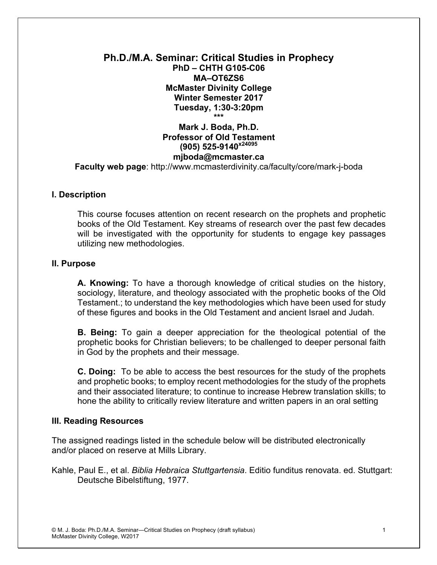### **Ph.D./M.A. Seminar: Critical Studies in Prophecy PhD – CHTH G105-C06 MA–OT6ZS6 McMaster Divinity College Winter Semester 2017 Tuesday, 1:30-3:20pm \*\*\***

## **Mark J. Boda, Ph.D. Professor of Old Testament (905) 525-9140x24095 mjboda@mcmaster.ca Faculty web page**: http://www.mcmasterdivinity.ca/faculty/core/mark-j-boda

### **I. Description**

This course focuses attention on recent research on the prophets and prophetic books of the Old Testament. Key streams of research over the past few decades will be investigated with the opportunity for students to engage key passages utilizing new methodologies.

### **II. Purpose**

**A. Knowing:** To have a thorough knowledge of critical studies on the history, sociology, literature, and theology associated with the prophetic books of the Old Testament.; to understand the key methodologies which have been used for study of these figures and books in the Old Testament and ancient Israel and Judah.

**B. Being:** To gain a deeper appreciation for the theological potential of the prophetic books for Christian believers; to be challenged to deeper personal faith in God by the prophets and their message.

**C. Doing:** To be able to access the best resources for the study of the prophets and prophetic books; to employ recent methodologies for the study of the prophets and their associated literature; to continue to increase Hebrew translation skills; to hone the ability to critically review literature and written papers in an oral setting

### **III. Reading Resources**

The assigned readings listed in the schedule below will be distributed electronically and/or placed on reserve at Mills Library.

Kahle, Paul E., et al. *Biblia Hebraica Stuttgartensia*. Editio funditus renovata. ed. Stuttgart: Deutsche Bibelstiftung, 1977.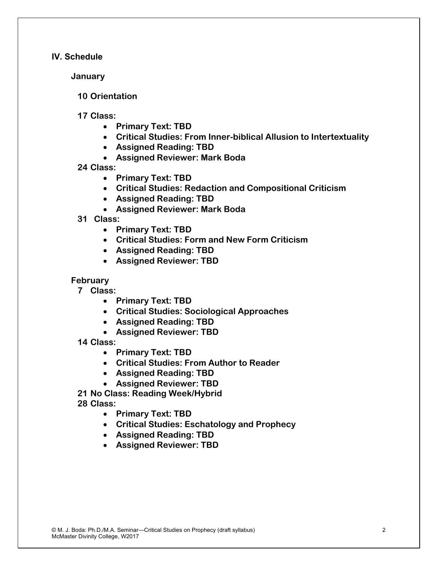### **IV. Schedule**

**January**

**10 Orientation**

**17 Class:** 

- **Primary Text: TBD**
- **Critical Studies: From Inner-biblical Allusion to Intertextuality**
- **Assigned Reading: TBD**
- **Assigned Reviewer: Mark Boda**

**24 Class:**

- **Primary Text: TBD**
- **Critical Studies: Redaction and Compositional Criticism**
- **Assigned Reading: TBD**
- **Assigned Reviewer: Mark Boda**
- **31 Class:** 
	- **Primary Text: TBD**
	- **Critical Studies: Form and New Form Criticism**
	- **Assigned Reading: TBD**
	- **Assigned Reviewer: TBD**

### **February**

- **7 Class:** 
	- **Primary Text: TBD**
	- **Critical Studies: Sociological Approaches**
	- **Assigned Reading: TBD**
	- **Assigned Reviewer: TBD**
- **14 Class:** 
	- **Primary Text: TBD**
	- **Critical Studies: From Author to Reader**
	- **Assigned Reading: TBD**
	- **Assigned Reviewer: TBD**

**21 No Class: Reading Week/Hybrid**

**28 Class:** 

- **Primary Text: TBD**
- **Critical Studies: Eschatology and Prophecy**
- **Assigned Reading: TBD**
- **Assigned Reviewer: TBD**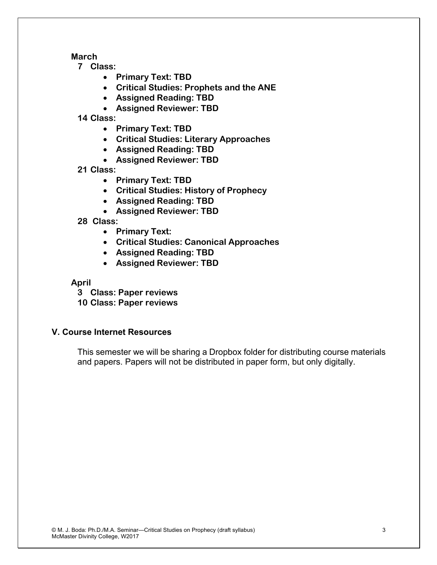**March**

**7 Class:** 

- **Primary Text: TBD**
- **Critical Studies: Prophets and the ANE**
- **Assigned Reading: TBD**
- **Assigned Reviewer: TBD**

**14 Class:** 

- **Primary Text: TBD**
- **Critical Studies: Literary Approaches**
- **Assigned Reading: TBD**
- **Assigned Reviewer: TBD**

**21 Class:** 

- **Primary Text: TBD**
- **Critical Studies: History of Prophecy**
- **Assigned Reading: TBD**
- **Assigned Reviewer: TBD**

**28 Class:** 

- **Primary Text:**
- **Critical Studies: Canonical Approaches**
- **Assigned Reading: TBD**
- **Assigned Reviewer: TBD**

**April**

**3 Class: Paper reviews 10 Class: Paper reviews**

# **V. Course Internet Resources**

This semester we will be sharing a Dropbox folder for distributing course materials and papers. Papers will not be distributed in paper form, but only digitally.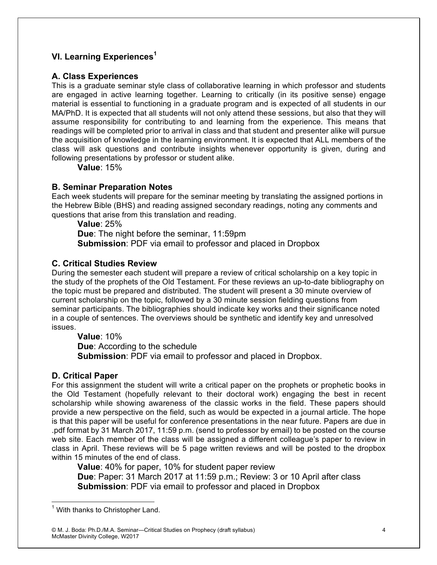## **VI. Learning Experiences<sup>1</sup>**

## **A. Class Experiences**

This is a graduate seminar style class of collaborative learning in which professor and students are engaged in active learning together. Learning to critically (in its positive sense) engage material is essential to functioning in a graduate program and is expected of all students in our MA/PhD. It is expected that all students will not only attend these sessions, but also that they will assume responsibility for contributing to and learning from the experience. This means that readings will be completed prior to arrival in class and that student and presenter alike will pursue the acquisition of knowledge in the learning environment. It is expected that ALL members of the class will ask questions and contribute insights whenever opportunity is given, during and following presentations by professor or student alike.

**Value**: 15%

### **B. Seminar Preparation Notes**

Each week students will prepare for the seminar meeting by translating the assigned portions in the Hebrew Bible (BHS) and reading assigned secondary readings, noting any comments and questions that arise from this translation and reading.

**Value**: 25% **Due**: The night before the seminar, 11:59pm **Submission**: PDF via email to professor and placed in Dropbox

### **C. Critical Studies Review**

During the semester each student will prepare a review of critical scholarship on a key topic in the study of the prophets of the Old Testament. For these reviews an up-to-date bibliography on the topic must be prepared and distributed. The student will present a 30 minute overview of current scholarship on the topic, followed by a 30 minute session fielding questions from seminar participants. The bibliographies should indicate key works and their significance noted in a couple of sentences. The overviews should be synthetic and identify key and unresolved issues.

**Value**: 10%

**Due**: According to the schedule **Submission**: PDF via email to professor and placed in Dropbox.

### **D. Critical Paper**

For this assignment the student will write a critical paper on the prophets or prophetic books in the Old Testament (hopefully relevant to their doctoral work) engaging the best in recent scholarship while showing awareness of the classic works in the field. These papers should provide a new perspective on the field, such as would be expected in a journal article. The hope is that this paper will be useful for conference presentations in the near future. Papers are due in .pdf format by 31 March 2017, 11:59 p.m. (send to professor by email) to be posted on the course web site. Each member of the class will be assigned a different colleague's paper to review in class in April. These reviews will be 5 page written reviews and will be posted to the dropbox within 15 minutes of the end of class.

**Value**: 40% for paper, 10% for student paper review

**Due**: Paper: 31 March 2017 at 11:59 p.m.; Review: 3 or 10 April after class **Submission**: PDF via email to professor and placed in Dropbox

 $1$  With thanks to Christopher Land.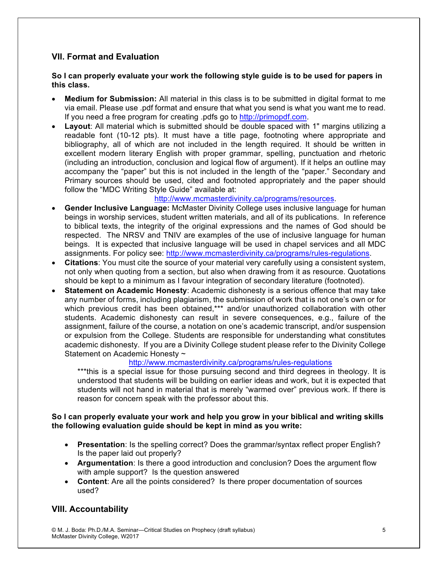## **VII. Format and Evaluation**

#### **So I can properly evaluate your work the following style guide is to be used for papers in this class.**

- **Medium for Submission:** All material in this class is to be submitted in digital format to me via email. Please use .pdf format and ensure that what you send is what you want me to read. If you need a free program for creating .pdfs go to http://primopdf.com.
- **Layout**: All material which is submitted should be double spaced with 1" margins utilizing a readable font (10-12 pts). It must have a title page, footnoting where appropriate and bibliography, all of which are not included in the length required. It should be written in excellent modern literary English with proper grammar, spelling, punctuation and rhetoric (including an introduction, conclusion and logical flow of argument). If it helps an outline may accompany the "paper" but this is not included in the length of the "paper." Secondary and Primary sources should be used, cited and footnoted appropriately and the paper should follow the "MDC Writing Style Guide" available at:

#### http://www.mcmasterdivinity.ca/programs/resources.

- **Gender Inclusive Language:** McMaster Divinity College uses inclusive language for human beings in worship services, student written materials, and all of its publications. In reference to biblical texts, the integrity of the original expressions and the names of God should be respected. The NRSV and TNIV are examples of the use of inclusive language for human beings. It is expected that inclusive language will be used in chapel services and all MDC assignments. For policy see: http://www.mcmasterdivinity.ca/programs/rules-regulations.
- **Citations**: You must cite the source of your material very carefully using a consistent system, not only when quoting from a section, but also when drawing from it as resource. Quotations should be kept to a minimum as I favour integration of secondary literature (footnoted).
- **Statement on Academic Honesty**: Academic dishonesty is a serious offence that may take any number of forms, including plagiarism, the submission of work that is not one's own or for which previous credit has been obtained,\*\*\* and/or unauthorized collaboration with other students. Academic dishonesty can result in severe consequences, e.g., failure of the assignment, failure of the course, a notation on one's academic transcript, and/or suspension or expulsion from the College. Students are responsible for understanding what constitutes academic dishonesty. If you are a Divinity College student please refer to the Divinity College Statement on Academic Honesty ~

#### http://www.mcmasterdivinity.ca/programs/rules-regulations

\*\*\*this is a special issue for those pursuing second and third degrees in theology. It is understood that students will be building on earlier ideas and work, but it is expected that students will not hand in material that is merely "warmed over" previous work. If there is reason for concern speak with the professor about this.

#### **So I can properly evaluate your work and help you grow in your biblical and writing skills the following evaluation guide should be kept in mind as you write:**

- **Presentation**: Is the spelling correct? Does the grammar/syntax reflect proper English? Is the paper laid out properly?
- **Argumentation**: Is there a good introduction and conclusion? Does the argument flow with ample support? Is the question answered
- **Content**: Are all the points considered? Is there proper documentation of sources used?

# **VIII. Accountability**